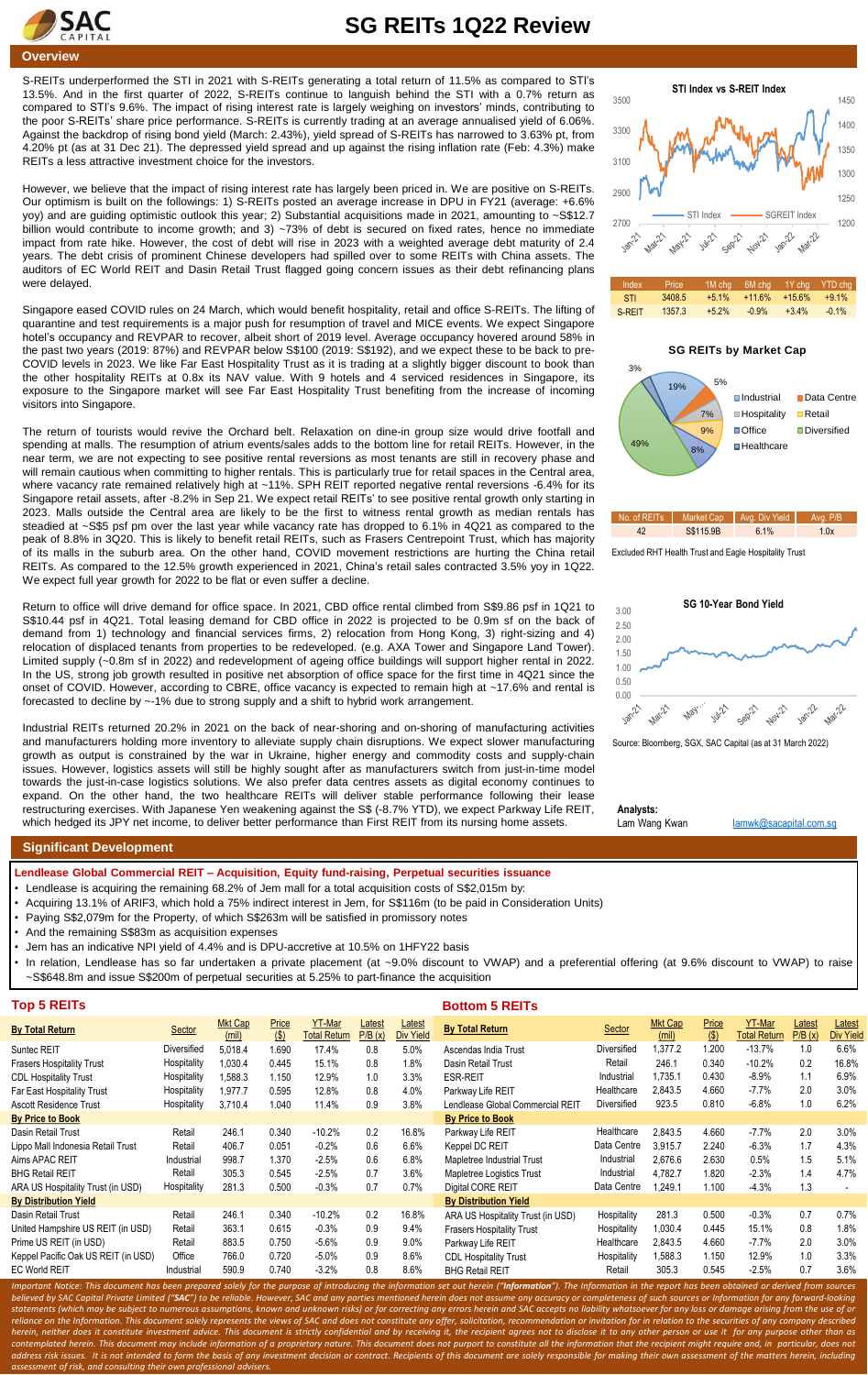

## **SG REITs 1Q22 Review**

S-REITs underperformed the STI in 2021 with S-REITs generating a total return of 11.5% as compared to STI's 13.5%. And in the first quarter of 2022, S-REITs continue to languish behind the STI with a 0.7% return as compared to STI's 9.6%. The impact of rising interest rate is largely weighing on investors' minds, contributing to the poor S-REITs' share price performance. S-REITs is currently trading at an average annualised yield of 6.06%. Against the backdrop of rising bond yield (March: 2.43%), yield spread of S-REITs has narrowed to 3.63% pt, from 4.20% pt (as at 31 Dec 21). The depressed yield spread and up against the rising inflation rate (Feb: 4.3%) make REITs a less attractive investment choice for the investors.

However, we believe that the impact of rising interest rate has largely been priced in. We are positive on S-REITs. Our optimism is built on the followings: 1) S-REITs posted an average increase in DPU in FY21 (average: +6.6% yoy) and are guiding optimistic outlook this year; 2) Substantial acquisitions made in 2021, amounting to ~S\$12.7 billion would contribute to income growth; and 3) ~73% of debt is secured on fixed rates, hence no immediate impact from rate hike. However, the cost of debt will rise in 2023 with a weighted average debt maturity of 2.4 years. The debt crisis of prominent Chinese developers had spilled over to some REITs with China assets. The auditors of EC World REIT and Dasin Retail Trust flagged going concern issues as their debt refinancing plans were delayed.

Singapore eased COVID rules on 24 March, which would benefit hospitality, retail and office S-REITs. The lifting of quarantine and test requirements is a major push for resumption of travel and MICE events. We expect Singapore hotel's occupancy and REVPAR to recover, albeit short of 2019 level. Average occupancy hovered around 58% in the past two years (2019: 87%) and REVPAR below S\$100 (2019: S\$192), and we expect these to be back to pre-COVID levels in 2023. We like Far East Hospitality Trust as it is trading at a slightly bigger discount to book than the other hospitality REITs at 0.8x its NAV value. With 9 hotels and 4 serviced residences in Singapore, its exposure to the Singapore market will see Far East Hospitality Trust benefiting from the increase of incoming visitors into Singapore.

The return of tourists would revive the Orchard belt. Relaxation on dine-in group size would drive footfall and spending at malls. The resumption of atrium events/sales adds to the bottom line for retail REITs. However, in the near term, we are not expecting to see positive rental reversions as most tenants are still in recovery phase and will remain cautious when committing to higher rentals. This is particularly true for retail spaces in the Central area, where vacancy rate remained relatively high at ~11%. SPH REIT reported negative rental reversions -6.4% for its Singapore retail assets, after -8.2% in Sep 21. We expect retail REITs' to see positive rental growth only starting in 2023. Malls outside the Central area are likely to be the first to witness rental growth as median rentals has steadied at ~S\$5 psf pm over the last year while vacancy rate has dropped to 6.1% in 4Q21 as compared to the peak of 8.8% in 3Q20. This is likely to benefit retail REITs, such as Frasers Centrepoint Trust, which has majority of its malls in the suburb area. On the other hand, COVID movement restrictions are hurting the China retail REITs. As compared to the 12.5% growth experienced in 2021, China's retail sales contracted 3.5% yoy in 1Q22. We expect full year growth for 2022 to be flat or even suffer a decline.

Return to office will drive demand for office space. In 2021, CBD office rental climbed from S\$9.86 psf in 1Q21 to S\$10.44 psf in 4Q21. Total leasing demand for CBD office in 2022 is projected to be 0.9m sf on the back of demand from 1) technology and financial services firms, 2) relocation from Hong Kong, 3) right-sizing and 4) relocation of displaced tenants from properties to be redeveloped. (e.g. AXA Tower and Singapore Land Tower). Limited supply (~0.8m sf in 2022) and redevelopment of ageing office buildings will support higher rental in 2022. In the US, strong job growth resulted in positive net absorption of office space for the first time in 4Q21 since the onset of COVID. However, according to CBRE, office vacancy is expected to remain high at ~17.6% and rental is forecasted to decline by ~-1% due to strong supply and a shift to hybrid work arrangement.

Industrial REITs returned 20.2% in 2021 on the back of near-shoring and on-shoring of manufacturing activities and manufacturers holding more inventory to alleviate supply chain disruptions. We expect slower manufacturing growth as output is constrained by the war in Ukraine, higher energy and commodity costs and supply-chain issues. However, logistics assets will still be highly sought after as manufacturers switch from just-in-time model towards the just-in-case logistics solutions. We also prefer data centres assets as digital economy continues to expand. On the other hand, the two healthcare REITs will deliver stable performance following their lease restructuring exercises. With Japanese Yen weakening against the S\$ (-8.7% YTD), we expect Parkway Life REIT, which hedged its JPY net income, to deliver better performance than First REIT from its nursing home assets.





## **SG REITs by Market Cap**





Excluded RHT Health Trust and Eagle Hospitality Trust



Source: Bloomberg, SGX, SAC Capital (as at 31 March 2022)

**Analysts:**

Lam Wang Kwan [lamwk@sacapital.com.sg](mailto:lamwk@sacapital.com.sg)

## **Significant Development**

**Lendlease Global Commercial REIT – Acquisition, Equity fund-raising, Perpetual securities issuance**

- Lendlease is acquiring the remaining 68.2% of Jem mall for a total acquisition costs of S\$2,015m by:
- Acquiring 13.1% of ARIF3, which hold a 75% indirect interest in Jem, for S\$116m (to be paid in Consideration Units)
- Paying S\$2,079m for the Property, of which S\$263m will be satisfied in promissory notes
- And the remaining S\$83m as acquisition expenses

*assessment of risk, and consulting their own professional advisers.*

- Jem has an indicative NPI yield of 4.4% and is DPU-accretive at 10.5% on 1HFY22 basis
- In relation, Lendlease has so far undertaken a private placement (at ~9.0% discount to VWAP) and a preferential offering (at 9.6% discount to VWAP) to raise ~S\$648.8m and issue S\$200m of perpetual securities at 5.25% to part-finance the acquisition

| <b>Top 5 REITs</b>                  |             |                         |              |                                      |                  |                            | <b>Bottom 5 REITs</b>                                                                                                                                                                                           |             |                         |                  |                                      |                  |                            |
|-------------------------------------|-------------|-------------------------|--------------|--------------------------------------|------------------|----------------------------|-----------------------------------------------------------------------------------------------------------------------------------------------------------------------------------------------------------------|-------------|-------------------------|------------------|--------------------------------------|------------------|----------------------------|
| By Total Return                     | Sector      | <b>Mkt Cap</b><br>(mil) | Price<br>(S) | <b>YT-Mar</b><br><b>Total Return</b> | Latest<br>P/B(x) | Latest<br><b>Div Yield</b> | <b>By Total Return</b>                                                                                                                                                                                          | Sector      | <b>Mkt Cap</b><br>(mil) | Price<br>$($ \$) | <b>YT-Mar</b><br><b>Total Return</b> | Latest<br>P/B(x) | Latest<br><b>Div Yield</b> |
| Suntec REIT                         | Diversified | 5.018.4                 | 1.690        | 17.4%                                | 0.8              | 5.0%                       | Ascendas India Trust                                                                                                                                                                                            | Diversified | .377.2                  | 1.200            | $-13.7%$                             | 1.0              | 6.6%                       |
| Frasers Hospitality Trust           | Hospitality | 1.030.4                 | 0.445        | 15.1%                                | 0.8              | 1.8%                       | Dasin Retail Trust                                                                                                                                                                                              | Retail      | 246.1                   | 0.340            | $-10.2%$                             | 0.2              | 16.8%                      |
| <b>CDL Hospitality Trust</b>        | Hospitality | 1,588.3                 | 1.150        | 12.9%                                | 1.0              | 3.3%                       | <b>ESR-REIT</b>                                                                                                                                                                                                 | Industrial  | 1.735.1                 | 0.430            | $-8.9%$                              | 1.1              | 6.9%                       |
| Far East Hospitality Trust          | Hospitality | 1,977.7                 | 0.595        | 12.8%                                | 0.8              | 4.0%                       | Parkway Life REIT                                                                                                                                                                                               | Healthcare  | 2,843.5                 | 4.660            | $-7.7\%$                             | 2.0              | $3.0\%$                    |
| Ascott Residence Trust              | Hospitality | 3,710.4                 | 1.040        | 11.4%                                | 0.9              | 3.8%                       | Lendlease Global Commercial REIT                                                                                                                                                                                | Diversified | 923.5                   | 0.810            | $-6.8%$                              | 1.0              | 6.2%                       |
| <b>By Price to Book</b>             |             |                         |              |                                      |                  |                            | <b>By Price to Book</b>                                                                                                                                                                                         |             |                         |                  |                                      |                  |                            |
| Dasin Retail Trust                  | Retail      | 246.1                   | 0.340        | $-10.2%$                             | 0.2              | 16.8%                      | Parkway Life REIT                                                                                                                                                                                               | Healthcare  | 2,843.5                 | 4.660            | $-7.7\%$                             | 2.0              | 3.0%                       |
| Lippo Mall Indonesia Retail Trust   | Retail      | 406.7                   | 0.051        | $-0.2%$                              | 0.6              | 6.6%                       | Keppel DC REIT                                                                                                                                                                                                  | Data Centre | 3.915.7                 | 2.240            | $-6.3%$                              | 1.7              | 4.3%                       |
| Aims APAC REIT                      | Industrial  | 998.7                   | 1.370        | $-2.5%$                              | 0.6              | 6.8%                       | Mapletree Industrial Trust                                                                                                                                                                                      | Industrial  | 2,676.6                 | 2.630            | 0.5%                                 | 1.5              | 5.1%                       |
| <b>BHG Retail REIT</b>              | Retail      | 305.3                   | 0.545        | $-2.5%$                              | 0.7              | 3.6%                       | Mapletree Logistics Trust                                                                                                                                                                                       | Industrial  | 4.782.7                 | 1.820            | $-2.3%$                              | 1.4              | 4.7%                       |
| ARA US Hospitality Trust (in USD)   | Hospitality | 281.3                   | 0.500        | $-0.3%$                              | 0.7              | 0.7%                       | Digital CORE REIT                                                                                                                                                                                               | Data Centre | .249.1                  | 1.100            | $-4.3%$                              | 1.3              |                            |
| <b>By Distribution Yield</b>        |             |                         |              |                                      |                  |                            | <b>By Distribution Yield</b>                                                                                                                                                                                    |             |                         |                  |                                      |                  |                            |
| Dasin Retail Trust                  | Retail      | 246.1                   | 0.340        | $-10.2%$                             | 0.2              | 16.8%                      | ARA US Hospitality Trust (in USD)                                                                                                                                                                               | Hospitality | 281.3                   | 0.500            | $-0.3%$                              | 0.7              | 0.7%                       |
| United Hampshire US REIT (in USD)   | Retail      | 363.1                   | 0.615        | $-0.3%$                              | 0.9              | 9.4%                       | <b>Frasers Hospitality Trust</b>                                                                                                                                                                                | Hospitality | 1.030.4                 | 0.445            | 15.1%                                | 0.8              | 1.8%                       |
| Prime US REIT (in USD)              | Retail      | 883.5                   | 0.750        | $-5.6%$                              | 0.9              | $9.0\%$                    | Parkway Life REIT                                                                                                                                                                                               | Healthcare  | 2,843.5                 | 4.660            | $-7.7\%$                             | 2.0              | 3.0%                       |
| Keppel Pacific Oak US REIT (in USD) | Office      | 766.0                   | 0.720        | $-5.0%$                              | 0.9              | 8.6%                       | <b>CDL Hospitality Trust</b>                                                                                                                                                                                    | Hospitality | .588.3                  | 1.150            | 12.9%                                | 1.0              | 3.3%                       |
| EC World REIT                       | Industrial  | 590.9                   | 0.740        | $-3.2%$                              | 0.8              | 8.6%                       | <b>BHG Retail REIT</b>                                                                                                                                                                                          | Retail      | 305.3                   | 0.545            | $-2.5%$                              | 0.7              | 3.6%                       |
|                                     |             |                         |              |                                      |                  |                            | Impartant Notice: This document has been prenared solely for the nurnose of introducing the information set out herein ("Information"). The Information in the report has been obtained or derived from sources |             |                         |                  |                                      |                  |                            |

Important Notice: This document has been prepared solely for the purpose of introducing the information set out herein ("I**nformation**"). The Information in the report has been obtained or derived from sources believed by SAC Capital Private Limited ("**SAC**") to be reliable. However, SAC and any parties mentioned herein does not assume any accuracy or completeness of such sources or Information for any forward-looking statements (which may be subject to numerous assumptions, known and unknown risks) or for correcting any errors herein and SAC accepts no liability whatsoever for any loss or damage arising from the use of or reliance on the Information. This document solely represents the views of SAC and does not constitute any offer, solicitation, recommendation or invitation for in relation to the securities of any company described herein, neither does it constitute investment advice. This document is strictly confidential and by receiving it, the recipient agrees not to disclose it to any other person or use it for any purpose other than as

contemplated herein. This document may include information of a proprietary nature. This document does not purport to constitute all the information that the recipient might require and, in particular, does not address risk issues. It is not intended to form the basis of any investment decision or contract. Recipients of this document are solely responsible for making their own assessment of the matters herein, including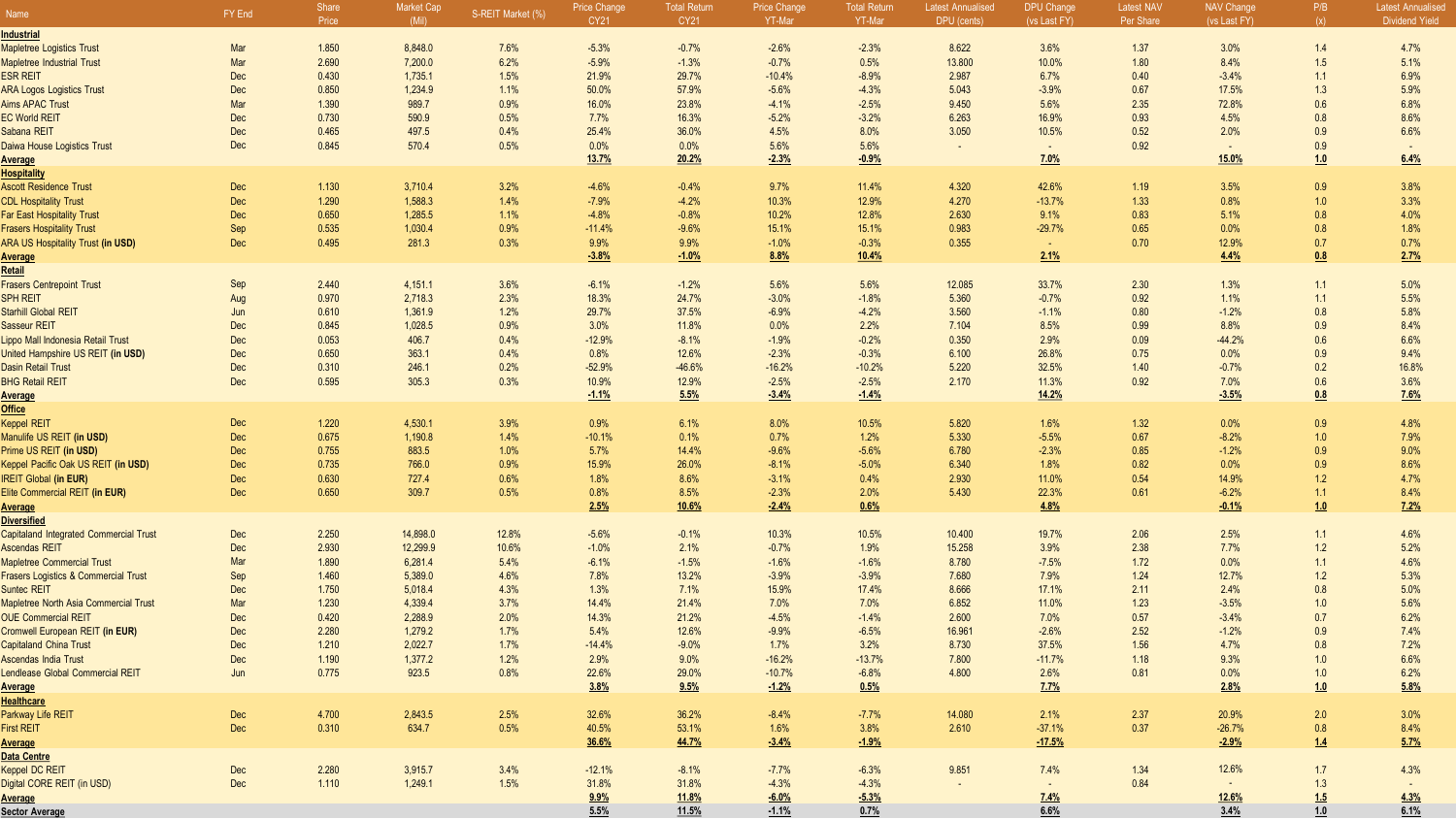| Name                                            | FY End | <b>Share</b><br>Price | <b>Market Cap</b><br>(Mil) | S-REIT Market (%) | Price Change<br><b>CY21</b> | Total Return<br>CY21 | <b>Price Change</b><br>YT-Mar | <b>Total Return</b><br>YT-Mar | Latest Annualised<br>DPU (cents) | <b>DPU Change</b><br>(vs Last FY) | Latest NA\<br>Per Share | <b>NAV Change</b><br>(vs Last FY) | P/B<br>(x) | Latest Annualised<br><b>Dividend Yield</b> |
|-------------------------------------------------|--------|-----------------------|----------------------------|-------------------|-----------------------------|----------------------|-------------------------------|-------------------------------|----------------------------------|-----------------------------------|-------------------------|-----------------------------------|------------|--------------------------------------------|
| Industrial                                      |        |                       |                            |                   |                             |                      |                               |                               |                                  |                                   |                         |                                   |            |                                            |
| <b>Mapletree Logistics Trust</b>                | Mar    | 1.850                 | 8,848.0                    | 7.6%              | $-5.3%$                     | $-0.7%$              | $-2.6%$                       | $-2.3%$                       | 8.622                            | 3.6%                              | 1.37                    | 3.0%                              | 1.4        | 4.7%                                       |
| <b>Mapletree Industrial Trust</b>               | Mar    | 2.690                 | 7,200.0                    | 6.2%              | $-5.9%$                     | $-1.3%$              | $-0.7%$                       | 0.5%                          | 13.800                           | 10.0%                             | 1.80                    | 8.4%                              | 1.5        | 5.1%                                       |
| <b>ESR REIT</b>                                 | Dec    | 0.430                 | 1,735.1                    | 1.5%              | 21.9%                       | 29.7%                | $-10.4%$                      | $-8.9%$                       | 2.987                            | 6.7%                              | 0.40                    | $-3.4%$                           | 1.1        | 6.9%                                       |
| <b>ARA Logos Logistics Trust</b>                | Dec    | 0.850                 | 1,234.9                    | 1.1%              | 50.0%                       | 57.9%                | $-5.6%$                       | $-4.3%$                       | 5.043                            | $-3.9%$                           | 0.67                    | 17.5%                             | 1.3        | 5.9%                                       |
| <b>Aims APAC Trust</b>                          | Mar    | 1.390                 | 989.7                      | 0.9%              | 16.0%                       | 23.8%                | $-4.1%$                       | $-2.5%$                       | 9.450                            | 5.6%                              | 2.35                    | 72.8%                             | 0.6        | 6.8%                                       |
| <b>EC World REIT</b>                            | Dec    | 0.730                 | 590.9                      | 0.5%              | 7.7%                        | 16.3%                | $-5.2%$                       | $-3.2%$                       | 6.263                            | 16.9%                             | 0.93                    | 4.5%                              | 0.8        | 8.6%                                       |
| Sabana REIT                                     | Dec    | 0.465                 | 497.5                      | 0.4%              | 25.4%                       | 36.0%                | 4.5%                          | 8.0%                          | 3.050                            | 10.5%                             | 0.52                    | 2.0%                              | 0.9        | 6.6%                                       |
| Daiwa House Logistics Trust                     | Dec    | 0.845                 | 570.4                      | 0.5%              | 0.0%                        | 0.0%                 | 5.6%                          | 5.6%                          | $\sim$                           | $\sim$                            | 0.92                    | $\sim$                            | 0.9        |                                            |
| Average                                         |        |                       |                            |                   | <u>13.7%</u>                | 20.2%                | $-2.3%$                       | $-0.9%$                       |                                  | 7.0%                              |                         | 15.0%                             | 1.0        | 6.4%                                       |
| <b>Hospitality</b>                              |        |                       |                            |                   |                             |                      |                               |                               |                                  |                                   |                         |                                   |            |                                            |
| <b>Ascott Residence Trust</b>                   | Dec    | 1.130                 | 3,710.4                    | 3.2%              | $-4.6%$                     | $-0.4%$              | 9.7%                          | 11.4%                         | 4.320                            | 42.6%                             | 1.19                    | 3.5%                              | 0.9        | 3.8%                                       |
| <b>CDL Hospitality Trust</b>                    | Dec    | 1.290                 | 1,588.3                    | 1.4%              | $-7.9%$                     | $-4.2%$              | 10.3%                         | 12.9%                         | 4.270                            | $-13.7%$                          | 1.33                    | 0.8%                              | 1.0        | 3.3%                                       |
| <b>Far East Hospitality Trust</b>               | Dec    | 0.650                 | 1,285.5                    | 1.1%              | $-4.8%$                     | $-0.8%$              | 10.2%                         | 12.8%                         | 2.630                            | 9.1%                              | 0.83                    | 5.1%                              | 0.8        | 4.0%                                       |
| <b>Frasers Hospitality Trust</b>                | Sep    | 0.535                 | 1,030.4                    | 0.9%              | $-11.4%$                    | $-9.6%$              | 15.1%                         | 15.1%                         | 0.983                            | $-29.7%$                          | 0.65                    | 0.0%                              | 0.8        | 1.8%                                       |
| <b>ARA US Hospitality Trust (in USD)</b>        | Dec    | 0.495                 | 281.3                      | 0.3%              | 9.9%                        | 9.9%                 | $-1.0%$                       | $-0.3%$                       | 0.355                            | $\sim$                            | 0.70                    | 12.9%                             | 0.7        | 0.7%                                       |
| <b>Average</b>                                  |        |                       |                            |                   | $-3.8%$                     | $-1.0%$              | 8.8%                          | 10.4%                         |                                  | 2.1%                              |                         | 4.4%                              | 0.8        | 2.7%                                       |
| Retail                                          |        |                       |                            |                   |                             |                      |                               |                               |                                  |                                   |                         |                                   |            |                                            |
| <b>Frasers Centrepoint Trust</b>                | Sep    | 2.440                 | 4,151.1                    | 3.6%              | $-6.1%$                     | $-1.2%$              | 5.6%                          | 5.6%                          | 12.085                           | 33.7%                             | 2.30                    | 1.3%                              | 1.1        | 5.0%                                       |
| <b>SPH REIT</b>                                 | Aug    | 0.970                 | 2,718.3                    | 2.3%              | 18.3%                       | 24.7%                | $-3.0%$                       | $-1.8%$                       | 5.360                            | $-0.7%$                           | 0.92                    | 1.1%                              | 1.1        | 5.5%                                       |
| Starhill Global REIT                            | Jun    | 0.610                 | 1,361.9                    | 1.2%              | 29.7%                       | 37.5%                | $-6.9%$                       | $-4.2%$                       | 3.560                            | $-1.1%$                           | 0.80                    | $-1.2%$                           | 0.8        | 5.8%                                       |
| <b>Sasseur REIT</b>                             | Dec    | 0.845                 | 1,028.5                    | 0.9%              | 3.0%                        | 11.8%                | 0.0%                          | 2.2%                          | 7.104                            | 8.5%                              | 0.99                    | 8.8%                              | 0.9        | 8.4%                                       |
| Lippo Mall Indonesia Retail Trust               | Dec    | 0.053                 | 406.7                      | 0.4%              | $-12.9%$                    | $-8.1%$              | $-1.9%$                       | $-0.2%$                       | 0.350                            | 2.9%                              | 0.09                    | $-44.2%$                          | 0.6        | 6.6%                                       |
| United Hampshire US REIT (in USD)               | Dec    | 0.650                 | 363.1                      | 0.4%              | 0.8%                        | 12.6%                | $-2.3%$                       | $-0.3%$                       | 6.100                            | 26.8%                             | 0.75                    | 0.0%                              | 0.9        | 9.4%                                       |
| <b>Dasin Retail Trust</b>                       | Dec    | 0.310                 | 246.1                      | 0.2%              | $-52.9%$                    | $-46.6%$             | $-16.2%$                      | $-10.2%$                      | 5.220                            | 32.5%                             | 1.40                    | $-0.7%$                           | 0.2        | 16.8%                                      |
| <b>BHG Retail REIT</b>                          | Dec    | 0.595                 | 305.3                      | 0.3%              | 10.9%                       | 12.9%                | $-2.5%$                       | $-2.5%$                       | 2.170                            | 11.3%                             | 0.92                    | 7.0%                              | 0.6        | 3.6%                                       |
| <b>Average</b>                                  |        |                       |                            |                   | $-1.1%$                     | 5.5%                 | $-3.4%$                       | $-1.4%$                       |                                  | 14.2%                             |                         | $-3.5%$                           | 0.8        | 7.6%                                       |
| <b>Office</b>                                   |        |                       |                            |                   |                             |                      |                               |                               |                                  |                                   |                         |                                   |            |                                            |
| <b>Keppel REIT</b>                              | Dec    | 1.220                 | 4,530.1                    | 3.9%              | 0.9%                        | 6.1%                 | 8.0%                          | 10.5%                         | 5.820                            | 1.6%                              | 1.32                    | 0.0%                              | 0.9        | 4.8%                                       |
| Manulife US REIT (in USD)                       | Dec    | 0.675                 | 1,190.8                    | 1.4%              | $-10.1%$                    | 0.1%                 | 0.7%                          | 1.2%                          | 5.330                            | $-5.5%$                           | 0.67                    | $-8.2%$                           | 1.0        | 7.9%                                       |
| Prime US REIT (in USD)                          | Dec    | 0.755                 | 883.5                      | 1.0%              | 5.7%                        | 14.4%                | $-9.6%$                       | $-5.6%$                       | 6.780                            | $-2.3%$                           | 0.85                    | $-1.2%$                           | 0.9        | 9.0%                                       |
| Keppel Pacific Oak US REIT (in USD)             | Dec    | 0.735                 | 766.0                      | 0.9%              | 15.9%                       | 26.0%                | $-8.1%$                       | $-5.0%$                       | 6.340                            | 1.8%                              | 0.82                    | 0.0%                              | 0.9        | 8.6%                                       |
| <b>IREIT Global (in EUR)</b>                    | Dec    | 0.630<br>0.650        | 727.4<br>309.7             | 0.6%              | 1.8%                        | 8.6%<br>8.5%         | $-3.1%$                       | 0.4%                          | 2.930                            | 11.0%                             | 0.54<br>0.61            | 14.9%                             | 1.2        | 4.7%                                       |
| Elite Commercial REIT (in EUR)                  | Dec    |                       |                            | 0.5%              | 0.8%<br>2.5%                | 10.6%                | $-2.3%$<br>$-2.4%$            | 2.0%<br>0.6%                  | 5.430                            | 22.3%<br>4.8%                     |                         | $-6.2%$<br>$-0.1%$                | 1.1<br>1.0 | 8.4%<br>7.2%                               |
| <b>Average</b><br><b>Diversified</b>            |        |                       |                            |                   |                             |                      |                               |                               |                                  |                                   |                         |                                   |            |                                            |
| <b>Capitaland Integrated Commercial Trust</b>   | Dec    | 2.250                 | 14,898.0                   | 12.8%             | $-5.6%$                     | $-0.1%$              | 10.3%                         | 10.5%                         | 10.400                           | 19.7%                             | 2.06                    | 2.5%                              | 1.1        | 4.6%                                       |
| <b>Ascendas REIT</b>                            | Dec    | 2.930                 | 12,299.9                   | 10.6%             | $-1.0%$                     | 2.1%                 | $-0.7%$                       | 1.9%                          | 15.258                           | 3.9%                              | 2.38                    | 7.7%                              | 1.2        | 5.2%                                       |
| <b>Mapletree Commercial Trust</b>               | Mar    | 1.890                 | 6,281.4                    | 5.4%              | $-6.1%$                     | $-1.5%$              | $-1.6%$                       | $-1.6%$                       | 8.780                            | $-7.5%$                           | 1.72                    | 0.0%                              | 1.1        | 4.6%                                       |
| <b>Frasers Logistics &amp; Commercial Trust</b> | Sep    | 1.460                 | 5,389.0                    | 4.6%              | 7.8%                        | 13.2%                | $-3.9%$                       | $-3.9%$                       | 7.680                            | 7.9%                              | 1.24                    | 12.7%                             | 1.2        | 5.3%                                       |
| <b>Suntec REIT</b>                              | Dec    | 1.750                 | 5,018.4                    | 4.3%              | 1.3%                        | 7.1%                 | 15.9%                         | 17.4%                         | 8.666                            | 17.1%                             | 2.11                    | 2.4%                              | 0.8        | 5.0%                                       |
| Mapletree North Asia Commercial Trust           | Mar    | 1.230                 | 4,339.4                    | 3.7%              | 14.4%                       | 21.4%                | 7.0%                          | 7.0%                          | 6.852                            | 11.0%                             | 1.23                    | $-3.5%$                           | 1.0        | 5.6%                                       |
| <b>OUE Commercial REIT</b>                      | Dec    | 0.420                 | 2,288.9                    | 2.0%              | 14.3%                       | 21.2%                | $-4.5%$                       | $-1.4%$                       | 2.600                            | 7.0%                              | 0.57                    | $-3.4%$                           | 0.7        | 6.2%                                       |
| Cromwell European REIT (in EUR)                 | Dec    | 2.280                 | 1,279.2                    | 1.7%              | 5.4%                        | 12.6%                | $-9.9%$                       | $-6.5%$                       | 16.961                           | $-2.6%$                           | 2.52                    | $-1.2%$                           | 0.9        | 7.4%                                       |
| <b>Capitaland China Trust</b>                   | Dec    | 1.210                 | 2,022.7                    | 1.7%              | $-14.4%$                    | $-9.0%$              | 1.7%                          | 3.2%                          | 8.730                            | 37.5%                             | 1.56                    | 4.7%                              | 0.8        | 7.2%                                       |
| Ascendas India Trust                            | Dec    | 1.190                 | 1,377.2                    | 1.2%              | 2.9%                        | 9.0%                 | $-16.2%$                      | $-13.7%$                      | 7.800                            | $-11.7%$                          | 1.18                    | 9.3%                              | 1.0        | 6.6%                                       |
| Lendlease Global Commercial REIT                | Jun    | 0.775                 | 923.5                      | 0.8%              | 22.6%                       | 29.0%                | $-10.7%$                      | $-6.8%$                       | 4.800                            | 2.6%                              | 0.81                    | 0.0%                              | 1.0        | 6.2%                                       |
| <b>Average</b>                                  |        |                       |                            |                   | 3.8%                        | 9.5%                 | $-1.2%$                       | 0.5%                          |                                  | 1.7%                              |                         | 2.8%                              | 1.0        | 5.8%                                       |
| <b>Healthcare</b>                               |        |                       |                            |                   |                             |                      |                               |                               |                                  |                                   |                         |                                   |            |                                            |
| Parkway Life REIT                               | Dec    | 4.700                 | 2,843.5                    | 2.5%              | 32.6%                       | 36.2%                | $-8.4%$                       | $-7.7%$                       | 14.080                           | 2.1%                              | 2.37                    | 20.9%                             | 2.0        | 3.0%                                       |
| <b>First REIT</b>                               | Dec    | 0.310                 | 634.7                      | 0.5%              | 40.5%                       | 53.1%                | 1.6%                          | 3.8%                          | 2.610                            | $-37.1%$                          | 0.37                    | $-26.7%$                          | 0.8        | 8.4%                                       |
| Average                                         |        |                       |                            |                   | 36.6%                       | 44.7%                | $-3.4%$                       | $-1.9%$                       |                                  | $-17.5%$                          |                         | $-2.9%$                           | 1.4        | 5.7%                                       |
| <b>Data Centre</b>                              |        |                       |                            |                   |                             |                      |                               |                               |                                  |                                   |                         |                                   |            |                                            |
| Keppel DC REIT                                  | Dec    | 2.280                 | 3,915.7                    | 3.4%              | $-12.1%$                    | $-8.1%$              | $-7.7%$                       | $-6.3%$                       | 9.851                            | 7.4%                              | 1.34                    | 12.6%                             | 1.7        | 4.3%                                       |
| Digital CORE REIT (in USD)                      | Dec    | 1.110                 | 1,249.1                    | 1.5%              | 31.8%                       | 31.8%                | $-4.3%$                       | $-4.3%$                       | $\sim$                           | $\sim$ $-$                        | 0.84                    | $\sim$                            | 1.3        |                                            |
| <b>Average</b>                                  |        |                       |                            |                   | 9.9%                        | <u>11.8%</u>         | $-6.0%$                       | $-5.3%$                       |                                  | 7.4%                              |                         | 12.6%                             | 1.5        | 4.3%                                       |
| <b>Sector Average</b>                           |        |                       |                            |                   | 5.5%                        | 11.5%                | $-1.1%$                       | 0.7%                          |                                  | 6.6%                              |                         | 3.4%                              | 1.0        | 6.1%                                       |